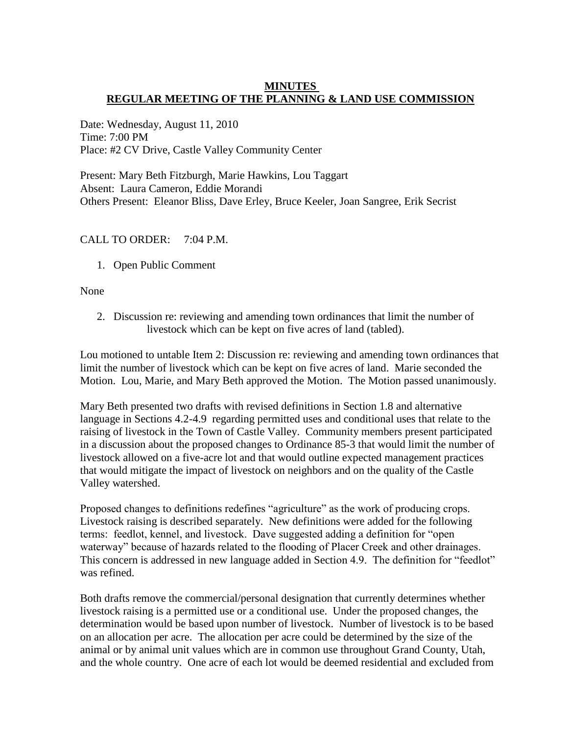### **MINUTES REGULAR MEETING OF THE PLANNING & LAND USE COMMISSION**

Date: Wednesday, August 11, 2010 Time: 7:00 PM Place: #2 CV Drive, Castle Valley Community Center

Present: Mary Beth Fitzburgh, Marie Hawkins, Lou Taggart Absent: Laura Cameron, Eddie Morandi Others Present: Eleanor Bliss, Dave Erley, Bruce Keeler, Joan Sangree, Erik Secrist

# CALL TO ORDER: 7:04 P.M.

1. Open Public Comment

None

2. Discussion re: reviewing and amending town ordinances that limit the number of livestock which can be kept on five acres of land (tabled).

Lou motioned to untable Item 2: Discussion re: reviewing and amending town ordinances that limit the number of livestock which can be kept on five acres of land. Marie seconded the Motion. Lou, Marie, and Mary Beth approved the Motion. The Motion passed unanimously.

Mary Beth presented two drafts with revised definitions in Section 1.8 and alternative language in Sections 4.2-4.9 regarding permitted uses and conditional uses that relate to the raising of livestock in the Town of Castle Valley. Community members present participated in a discussion about the proposed changes to Ordinance 85-3 that would limit the number of livestock allowed on a five-acre lot and that would outline expected management practices that would mitigate the impact of livestock on neighbors and on the quality of the Castle Valley watershed.

Proposed changes to definitions redefines "agriculture" as the work of producing crops. Livestock raising is described separately. New definitions were added for the following terms: feedlot, kennel, and livestock. Dave suggested adding a definition for "open waterway" because of hazards related to the flooding of Placer Creek and other drainages. This concern is addressed in new language added in Section 4.9. The definition for "feedlot" was refined.

Both drafts remove the commercial/personal designation that currently determines whether livestock raising is a permitted use or a conditional use. Under the proposed changes, the determination would be based upon number of livestock. Number of livestock is to be based on an allocation per acre. The allocation per acre could be determined by the size of the animal or by animal unit values which are in common use throughout Grand County, Utah, and the whole country. One acre of each lot would be deemed residential and excluded from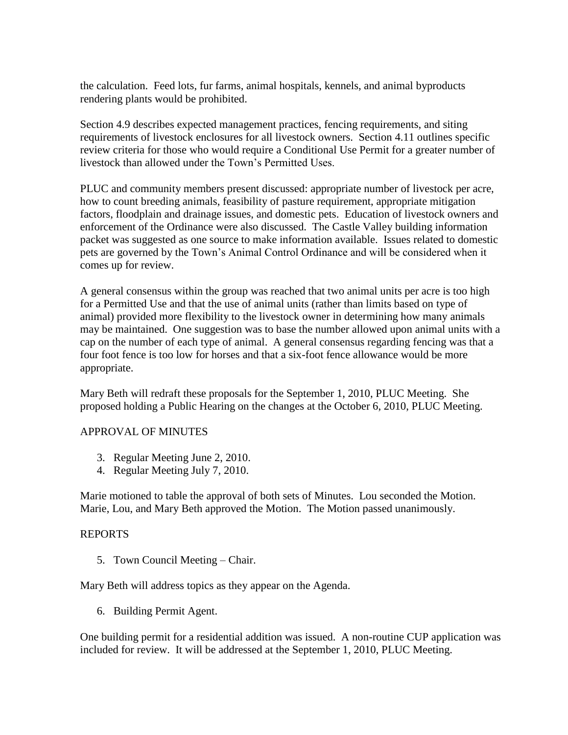the calculation. Feed lots, fur farms, animal hospitals, kennels, and animal byproducts rendering plants would be prohibited.

Section 4.9 describes expected management practices, fencing requirements, and siting requirements of livestock enclosures for all livestock owners. Section 4.11 outlines specific review criteria for those who would require a Conditional Use Permit for a greater number of livestock than allowed under the Town's Permitted Uses.

PLUC and community members present discussed: appropriate number of livestock per acre, how to count breeding animals, feasibility of pasture requirement, appropriate mitigation factors, floodplain and drainage issues, and domestic pets. Education of livestock owners and enforcement of the Ordinance were also discussed. The Castle Valley building information packet was suggested as one source to make information available. Issues related to domestic pets are governed by the Town's Animal Control Ordinance and will be considered when it comes up for review.

A general consensus within the group was reached that two animal units per acre is too high for a Permitted Use and that the use of animal units (rather than limits based on type of animal) provided more flexibility to the livestock owner in determining how many animals may be maintained. One suggestion was to base the number allowed upon animal units with a cap on the number of each type of animal. A general consensus regarding fencing was that a four foot fence is too low for horses and that a six-foot fence allowance would be more appropriate.

Mary Beth will redraft these proposals for the September 1, 2010, PLUC Meeting. She proposed holding a Public Hearing on the changes at the October 6, 2010, PLUC Meeting.

#### APPROVAL OF MINUTES

- 3. Regular Meeting June 2, 2010.
- 4. Regular Meeting July 7, 2010.

Marie motioned to table the approval of both sets of Minutes. Lou seconded the Motion. Marie, Lou, and Mary Beth approved the Motion. The Motion passed unanimously.

#### REPORTS

5. Town Council Meeting – Chair.

Mary Beth will address topics as they appear on the Agenda.

6. Building Permit Agent.

One building permit for a residential addition was issued. A non-routine CUP application was included for review. It will be addressed at the September 1, 2010, PLUC Meeting.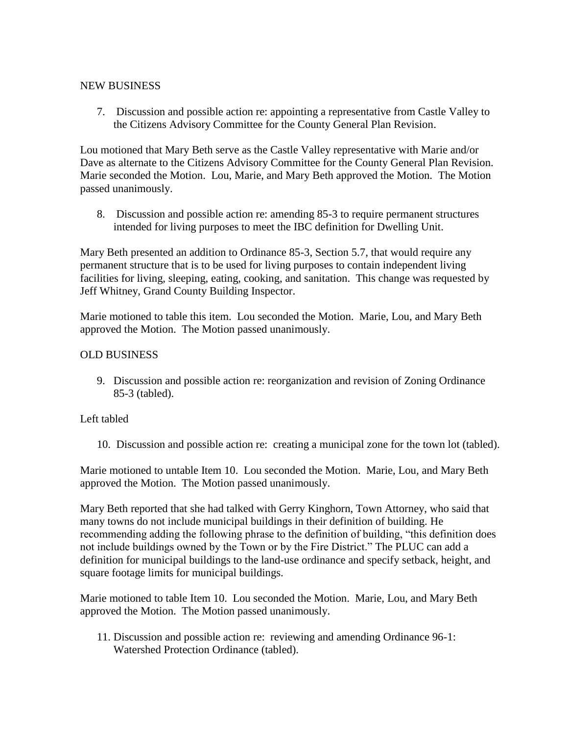### NEW BUSINESS

7. Discussion and possible action re: appointing a representative from Castle Valley to the Citizens Advisory Committee for the County General Plan Revision.

Lou motioned that Mary Beth serve as the Castle Valley representative with Marie and/or Dave as alternate to the Citizens Advisory Committee for the County General Plan Revision. Marie seconded the Motion. Lou, Marie, and Mary Beth approved the Motion. The Motion passed unanimously.

8. Discussion and possible action re: amending 85-3 to require permanent structures intended for living purposes to meet the IBC definition for Dwelling Unit.

Mary Beth presented an addition to Ordinance 85-3, Section 5.7, that would require any permanent structure that is to be used for living purposes to contain independent living facilities for living, sleeping, eating, cooking, and sanitation. This change was requested by Jeff Whitney, Grand County Building Inspector.

Marie motioned to table this item. Lou seconded the Motion. Marie, Lou, and Mary Beth approved the Motion. The Motion passed unanimously.

### OLD BUSINESS

9. Discussion and possible action re: reorganization and revision of Zoning Ordinance 85-3 (tabled).

# Left tabled

10. Discussion and possible action re: creating a municipal zone for the town lot (tabled).

Marie motioned to untable Item 10. Lou seconded the Motion. Marie, Lou, and Mary Beth approved the Motion. The Motion passed unanimously.

Mary Beth reported that she had talked with Gerry Kinghorn, Town Attorney, who said that many towns do not include municipal buildings in their definition of building. He recommending adding the following phrase to the definition of building, "this definition does not include buildings owned by the Town or by the Fire District." The PLUC can add a definition for municipal buildings to the land-use ordinance and specify setback, height, and square footage limits for municipal buildings.

Marie motioned to table Item 10. Lou seconded the Motion. Marie, Lou, and Mary Beth approved the Motion. The Motion passed unanimously.

11. Discussion and possible action re: reviewing and amending Ordinance 96-1: Watershed Protection Ordinance (tabled).